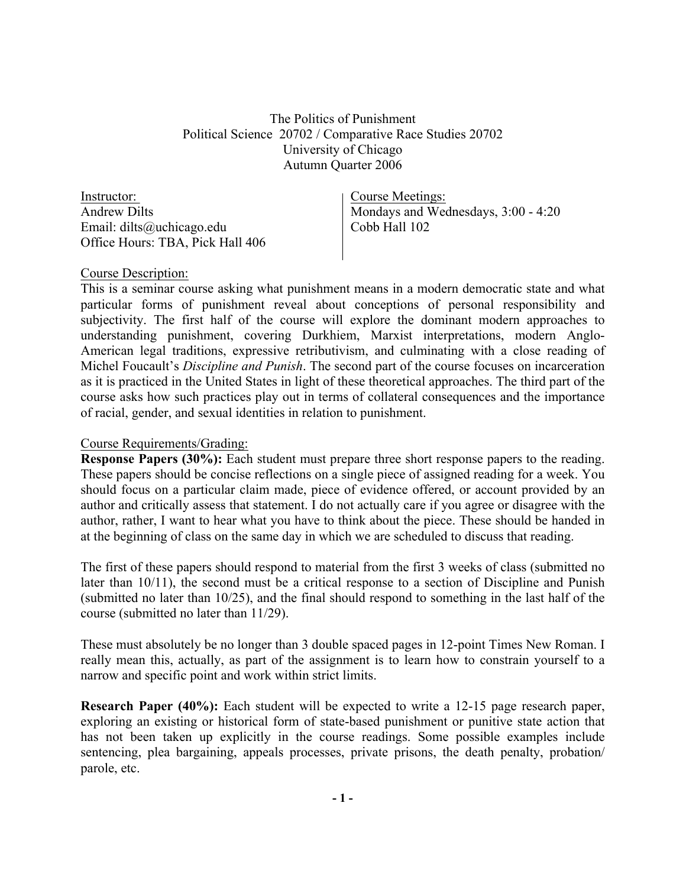The Politics of Punishment Political Science 20702 / Comparative Race Studies 20702 University of Chicago Autumn Quarter 2006

Instructor: Andrew Dilts Email: dilts@uchicago.edu Office Hours: TBA, Pick Hall 406

Course Meetings: Mondays and Wednesdays, 3:00 - 4:20 Cobb Hall 102

## Course Description:

This is a seminar course asking what punishment means in a modern democratic state and what particular forms of punishment reveal about conceptions of personal responsibility and subjectivity. The first half of the course will explore the dominant modern approaches to understanding punishment, covering Durkhiem, Marxist interpretations, modern Anglo-American legal traditions, expressive retributivism, and culminating with a close reading of Michel Foucault's *Discipline and Punish*. The second part of the course focuses on incarceration as it is practiced in the United States in light of these theoretical approaches. The third part of the course asks how such practices play out in terms of collateral consequences and the importance of racial, gender, and sexual identities in relation to punishment.

## Course Requirements/Grading:

**Response Papers (30%):** Each student must prepare three short response papers to the reading. These papers should be concise reflections on a single piece of assigned reading for a week. You should focus on a particular claim made, piece of evidence offered, or account provided by an author and critically assess that statement. I do not actually care if you agree or disagree with the author, rather, I want to hear what you have to think about the piece. These should be handed in at the beginning of class on the same day in which we are scheduled to discuss that reading.

The first of these papers should respond to material from the first 3 weeks of class (submitted no later than 10/11), the second must be a critical response to a section of Discipline and Punish (submitted no later than 10/25), and the final should respond to something in the last half of the course (submitted no later than 11/29).

These must absolutely be no longer than 3 double spaced pages in 12-point Times New Roman. I really mean this, actually, as part of the assignment is to learn how to constrain yourself to a narrow and specific point and work within strict limits.

**Research Paper (40%):** Each student will be expected to write a 12-15 page research paper, exploring an existing or historical form of state-based punishment or punitive state action that has not been taken up explicitly in the course readings. Some possible examples include sentencing, plea bargaining, appeals processes, private prisons, the death penalty, probation/ parole, etc.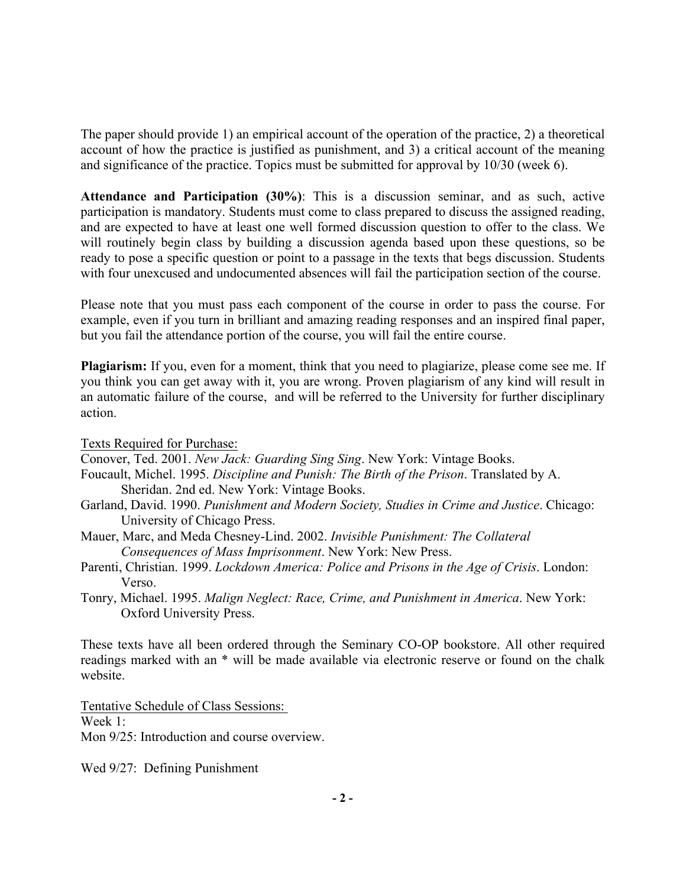The paper should provide 1) an empirical account of the operation of the practice, 2) a theoretical account of how the practice is justified as punishment, and 3) a critical account of the meaning and significance of the practice. Topics must be submitted for approval by 10/30 (week 6).

**Attendance and Participation (30%)**: This is a discussion seminar, and as such, active participation is mandatory. Students must come to class prepared to discuss the assigned reading, and are expected to have at least one well formed discussion question to offer to the class. We will routinely begin class by building a discussion agenda based upon these questions, so be ready to pose a specific question or point to a passage in the texts that begs discussion. Students with four unexcused and undocumented absences will fail the participation section of the course.

Please note that you must pass each component of the course in order to pass the course. For example, even if you turn in brilliant and amazing reading responses and an inspired final paper, but you fail the attendance portion of the course, you will fail the entire course.

**Plagiarism:** If you, even for a moment, think that you need to plagiarize, please come see me. If you think you can get away with it, you are wrong. Proven plagiarism of any kind will result in an automatic failure of the course, and will be referred to the University for further disciplinary action.

Texts Required for Purchase:

Conover, Ted. 2001. *New Jack: Guarding Sing Sing*. New York: Vintage Books.

- Foucault, Michel. 1995. *Discipline and Punish: The Birth of the Prison*. Translated by A. Sheridan. 2nd ed. New York: Vintage Books.
- Garland, David. 1990. *Punishment and Modern Society, Studies in Crime and Justice*. Chicago: University of Chicago Press.
- Mauer, Marc, and Meda Chesney-Lind. 2002. *Invisible Punishment: The Collateral Consequences of Mass Imprisonment*. New York: New Press.
- Parenti, Christian. 1999. *Lockdown America: Police and Prisons in the Age of Crisis*. London: Verso.
- Tonry, Michael. 1995. *Malign Neglect: Race, Crime, and Punishment in America*. New York: Oxford University Press.

These texts have all been ordered through the Seminary CO-OP bookstore. All other required readings marked with an \* will be made available via electronic reserve or found on the chalk website.

Tentative Schedule of Class Sessions: Week 1: Mon 9/25: Introduction and course overview.

Wed 9/27: Defining Punishment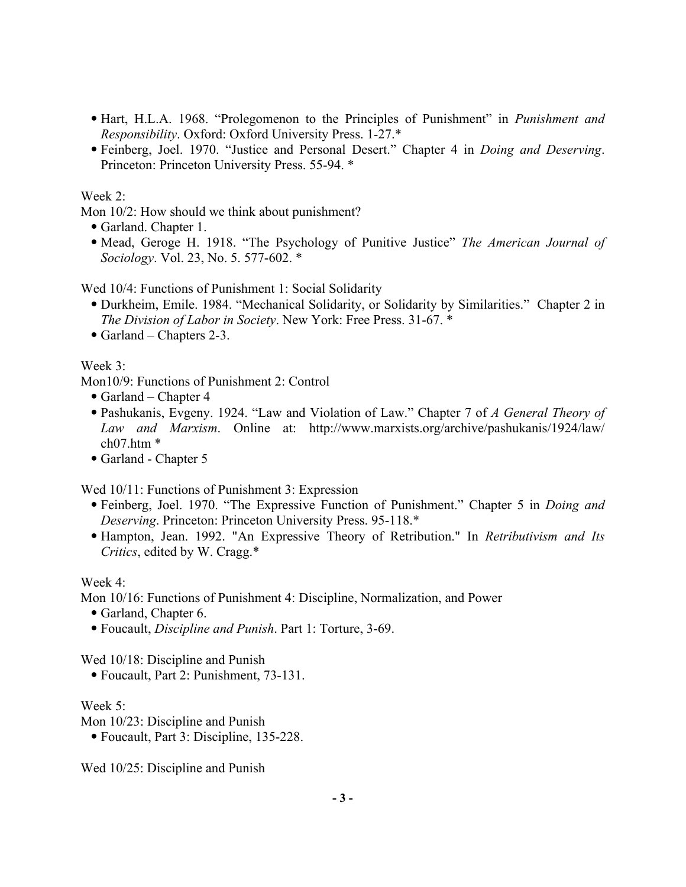- Hart, H.L.A. 1968. "Prolegomenon to the Principles of Punishment" in *Punishment and Responsibility*. Oxford: Oxford University Press. 1-27.\*
- Feinberg, Joel. 1970. "Justice and Personal Desert." Chapter 4 in *Doing and Deserving*. Princeton: Princeton University Press. 55-94. \*

## Week 2:

Mon 10/2: How should we think about punishment?

- Garland. Chapter 1.
- Mead, Geroge H. 1918. "The Psychology of Punitive Justice" *The American Journal of Sociology*. Vol. 23, No. 5. 577-602. \*

Wed 10/4: Functions of Punishment 1: Social Solidarity

- Durkheim, Emile. 1984. "Mechanical Solidarity, or Solidarity by Similarities." Chapter 2 in *The Division of Labor in Society*. New York: Free Press. 31-67. \*
- Garland Chapters 2-3.

## Week 3:

Mon10/9: Functions of Punishment 2: Control

- Garland Chapter 4
- Pashukanis, Evgeny. 1924. "Law and Violation of Law." Chapter 7 of *A General Theory of Law and Marxism*. Online at: http://www.marxists.org/archive/pashukanis/1924/law/ ch07.htm \*
- Garland Chapter 5

Wed 10/11: Functions of Punishment 3: Expression

- Feinberg, Joel. 1970. "The Expressive Function of Punishment." Chapter 5 in *Doing and Deserving*. Princeton: Princeton University Press. 95-118.\*
- Hampton, Jean. 1992. "An Expressive Theory of Retribution." In *Retributivism and Its Critics*, edited by W. Cragg.\*

Week 4:

Mon 10/16: Functions of Punishment 4: Discipline, Normalization, and Power

- Garland, Chapter 6.
- Foucault, *Discipline and Punish*. Part 1: Torture, 3-69.

Wed 10/18: Discipline and Punish

• Foucault, Part 2: Punishment, 73-131.

## Week 5:

Mon 10/23: Discipline and Punish

• Foucault, Part 3: Discipline, 135-228.

Wed 10/25: Discipline and Punish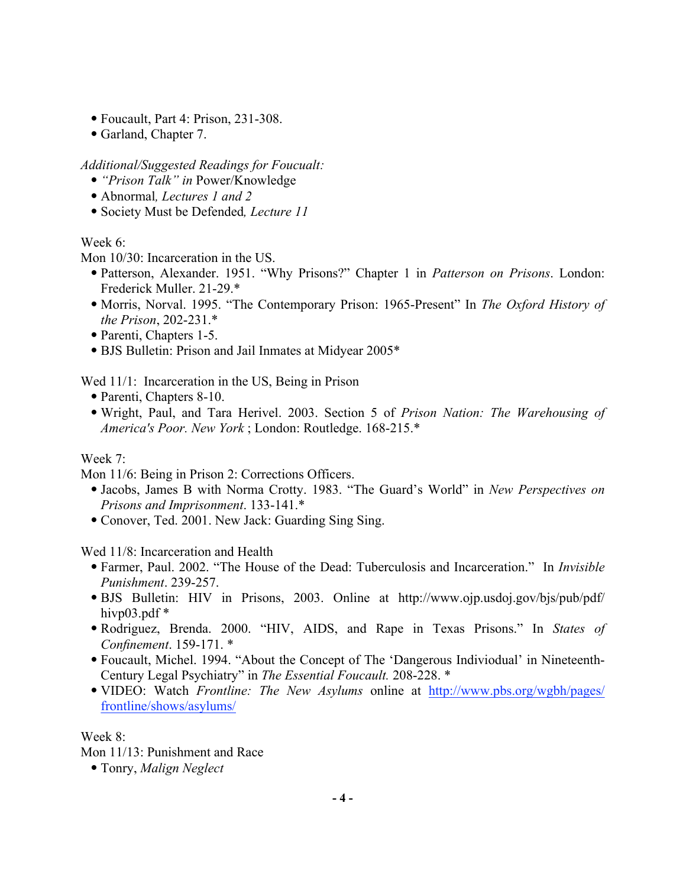- Foucault, Part 4: Prison, 231-308.
- Garland, Chapter 7.

*Additional/Suggested Readings for Foucualt:*

- *"Prison Talk" in* Power/Knowledge
- Abnormal*, Lectures 1 and 2*
- Society Must be Defended*, Lecture 11*

# Week 6<sup>.</sup>

Mon 10/30: Incarceration in the US.

- Patterson, Alexander. 1951. "Why Prisons?" Chapter 1 in *Patterson on Prisons*. London: Frederick Muller. 21-29.\*
- Morris, Norval. 1995. "The Contemporary Prison: 1965-Present" In *The Oxford History of the Prison*, 202-231.\*
- Parenti, Chapters 1-5.
- BJS Bulletin: Prison and Jail Inmates at Midyear 2005\*

Wed 11/1: Incarceration in the US, Being in Prison

- Parenti, Chapters 8-10.
- Wright, Paul, and Tara Herivel. 2003. Section 5 of *Prison Nation: The Warehousing of America's Poor. New York* ; London: Routledge. 168-215.\*

# Week 7:

Mon 11/6: Being in Prison 2: Corrections Officers.

- Jacobs, James B with Norma Crotty. 1983. "The Guard's World" in *New Perspectives on Prisons and Imprisonment*. 133-141.\*
- Conover, Ted. 2001. New Jack: Guarding Sing Sing.

Wed 11/8: Incarceration and Health

- Farmer, Paul. 2002. "The House of the Dead: Tuberculosis and Incarceration." In *Invisible Punishment*. 239-257.
- BJS Bulletin: HIV in Prisons, 2003. Online at http://www.ojp.usdoj.gov/bjs/pub/pdf/ hivp $03$ .pdf  $*$
- Rodriguez, Brenda. 2000. "HIV, AIDS, and Rape in Texas Prisons." In *States of Confinement*. 159-171. \*
- Foucault, Michel. 1994. "About the Concept of The 'Dangerous Indiviodual' in Nineteenth-Century Legal Psychiatry" in *The Essential Foucault.* 208-228. \*
- VIDEO: Watch *Frontline: The New Asylums* online at http://www.pbs.org/wgbh/pages/ frontline/shows/asylums/

# Week 8:

Mon 11/13: Punishment and Race

• Tonry, *Malign Neglect*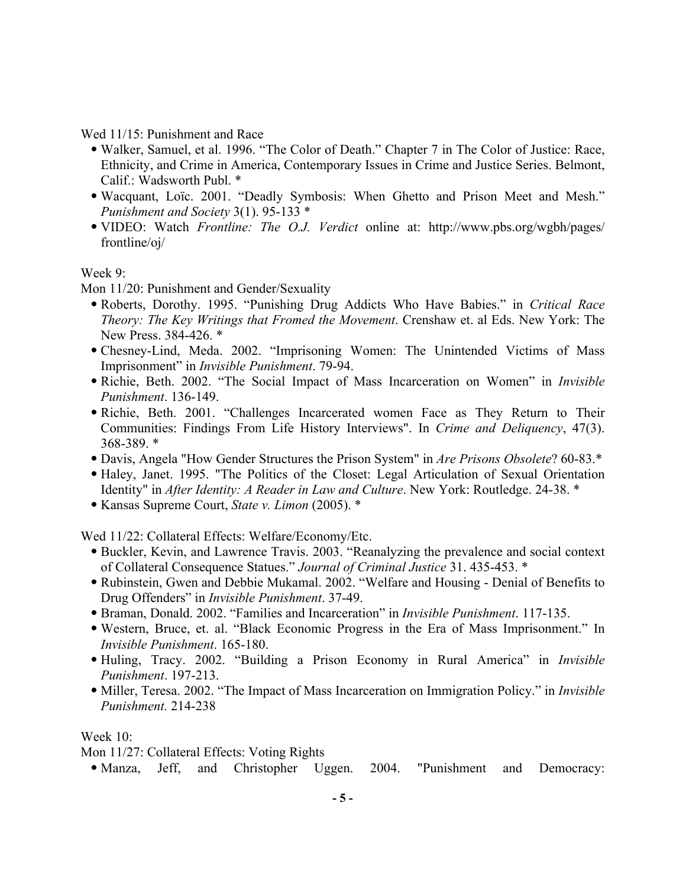Wed 11/15: Punishment and Race

- Walker, Samuel, et al. 1996. "The Color of Death." Chapter 7 in The Color of Justice: Race, Ethnicity, and Crime in America, Contemporary Issues in Crime and Justice Series. Belmont, Calif.: Wadsworth Publ. \*
- Wacquant, Loïc. 2001. "Deadly Symbosis: When Ghetto and Prison Meet and Mesh." *Punishment and Society* 3(1). 95-133 \*
- VIDEO: Watch *Frontline: The O.J. Verdict* online at: http://www.pbs.org/wgbh/pages/ frontline/oj/

## Week 9:

Mon 11/20: Punishment and Gender/Sexuality

- Roberts, Dorothy. 1995. "Punishing Drug Addicts Who Have Babies." in *Critical Race Theory: The Key Writings that Fromed the Movement*. Crenshaw et. al Eds. New York: The New Press. 384-426. \*
- Chesney-Lind, Meda. 2002. "Imprisoning Women: The Unintended Victims of Mass Imprisonment" in *Invisible Punishment*. 79-94.
- Richie, Beth. 2002. "The Social Impact of Mass Incarceration on Women" in *Invisible Punishment*. 136-149.
- Richie, Beth. 2001. "Challenges Incarcerated women Face as They Return to Their Communities: Findings From Life History Interviews". In *Crime and Deliquency*, 47(3). 368-389. \*
- Davis, Angela "How Gender Structures the Prison System" in *Are Prisons Obsolete*? 60-83.\*
- Haley, Janet. 1995. "The Politics of the Closet: Legal Articulation of Sexual Orientation Identity" in *After Identity: A Reader in Law and Culture*. New York: Routledge. 24-38. \*
- Kansas Supreme Court, *State v. Limon* (2005). \*

Wed 11/22: Collateral Effects: Welfare/Economy/Etc.

- Buckler, Kevin, and Lawrence Travis. 2003. "Reanalyzing the prevalence and social context of Collateral Consequence Statues." *Journal of Criminal Justice* 31. 435-453. \*
- Rubinstein, Gwen and Debbie Mukamal. 2002. "Welfare and Housing Denial of Benefits to Drug Offenders" in *Invisible Punishment*. 37-49.
- Braman, Donald. 2002. "Families and Incarceration" in *Invisible Punishment*. 117-135.
- Western, Bruce, et. al. "Black Economic Progress in the Era of Mass Imprisonment." In *Invisible Punishment*. 165-180.
- Huling, Tracy. 2002. "Building a Prison Economy in Rural America" in *Invisible Punishment*. 197-213.
- Miller, Teresa. 2002. "The Impact of Mass Incarceration on Immigration Policy." in *Invisible Punishment.* 214-238

## Week 10:

Mon 11/27: Collateral Effects: Voting Rights

• Manza, Jeff, and Christopher Uggen. 2004. "Punishment and Democracy: